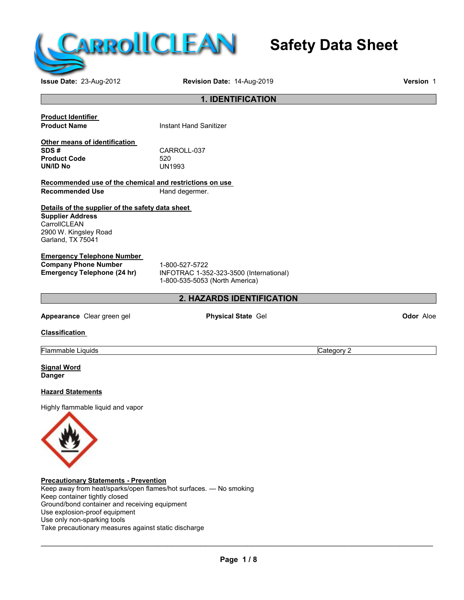

**Issue Date:** 23-Aug-2012 **Revision Date:** 14-Aug-2019 **Version** 1

**Safety Data Sheet**

## **1. IDENTIFICATION Product Identifier Instant Hand Sanitizer Other means of identification** CARROLL-037<br>520 **Product Code** 520<br> **UN/ID No** UN1993 **UN/ID No Recommended use of the chemical and restrictions on use Recommended Use** Hand degermer. **Details of the supplier of the safety data sheet Supplier Address CarrollCLEAN** 2900 W. Kingsley Road Garland, TX 75041 **Emergency Telephone Number Company Phone Number** 1-800-527-5722<br> **Emergency Telephone (24 hr)** INFOTRAC 1-35 **Emergency Telephone (24 hr)** INFOTRAC 1-352-323-3500 (International) 1-800-535-5053 (North America) **2. HAZARDS IDENTIFICATION Appearance** Clear green gel **Physical State** Gel **Odor** Aloe **Classification** Flammable Liquids Category 2 **Signal Word Danger Hazard Statements** Highly flammable liquid and vapor **Precautionary Statements - Prevention**

Keep away from heat/sparks/open flames/hot surfaces. — No smoking Keep container tightly closed Ground/bond container and receiving equipment Use explosion-proof equipment Use only non-sparking tools Take precautionary measures against static discharge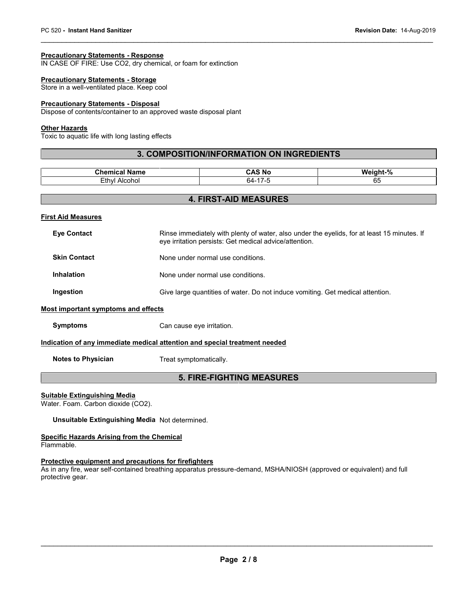#### **Precautionary Statements - Response**

IN CASE OF FIRE: Use CO2, dry chemical, or foam for extinction

#### **Precautionary Statements - Storage**

Store in a well-ventilated place. Keep cool

#### **Precautionary Statements - Disposal**

Dispose of contents/container to an approved waste disposal plant

#### **Other Hazards**

Toxic to aquatic life with long lasting effects

#### **3. COMPOSITION/INFORMATION ON INGREDIENTS**

| <b>Dhama</b><br>Name<br>нса | . .<br>CA.<br>'N.<br>. | $\mathbf{a}$<br>W۵<br>־יוחוב.<br>7٨ |
|-----------------------------|------------------------|-------------------------------------|
| ∟ cth∨l<br>Alcohoi          | _<br>64                | $\sim$<br>oo                        |

#### **4. FIRST-AID MEASURES**

#### **First Aid Measures**

| <b>Eve Contact</b>  | Rinse immediately with plenty of water, also under the eyelids, for at least 15 minutes. If<br>eye irritation persists: Get medical advice/attention. |
|---------------------|-------------------------------------------------------------------------------------------------------------------------------------------------------|
| <b>Skin Contact</b> | None under normal use conditions.                                                                                                                     |
| <b>Inhalation</b>   | None under normal use conditions.                                                                                                                     |
| Ingestion           | Give large quantities of water. Do not induce vomiting. Get medical attention.                                                                        |
|                     |                                                                                                                                                       |

#### **Most important symptoms and effects**

**Symptoms** Can cause eye irritation.

#### **Indication of any immediate medical attention and special treatment needed**

**Notes to Physician** Treat symptomatically.

#### **5. FIRE-FIGHTING MEASURES**

#### **Suitable Extinguishing Media**

Water. Foam. Carbon dioxide (CO2).

#### **Unsuitable Extinguishing Media** Not determined.

**Specific Hazards Arising from the Chemical** Flammable.

#### **Protective equipment and precautions for firefighters**

As in any fire, wear self-contained breathing apparatus pressure-demand, MSHA/NIOSH (approved or equivalent) and full protective gear.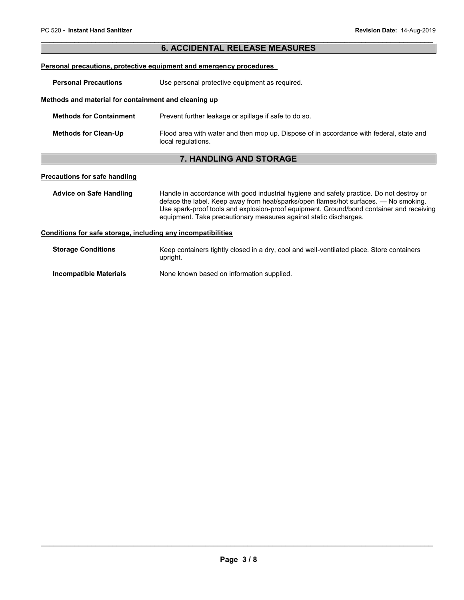## **6. ACCIDENTAL RELEASE MEASURES Personal precautions, protective equipment and emergency procedures Personal Precautions** Use personal protective equipment as required. **Methods and material for containment and cleaning up Methods for Containment** Prevent further leakage or spillage if safe to do so. **Methods for Clean-Up** Flood area with water and then mop up. Dispose of in accordance with federal, state and local regulations.

### **7. HANDLING AND STORAGE**

#### **Precautions for safe handling**

Advice on Safe Handling **Handle** in accordance with good industrial hygiene and safety practice. Do not destroy or deface the label. Keep away from heat/sparks/open flames/hot surfaces. — No smoking. Use spark-proof tools and explosion-proof equipment. Ground/bond container and receiving equipment. Take precautionary measures against static discharges.

#### **Conditions for safe storage, including any incompatibilities**

| <b>Storage Conditions</b> | Keep containers tightly closed in a dry, cool and well-ventilated place. Store containers<br>upright. |
|---------------------------|-------------------------------------------------------------------------------------------------------|
| Incompatible Materials    | None known based on information supplied.                                                             |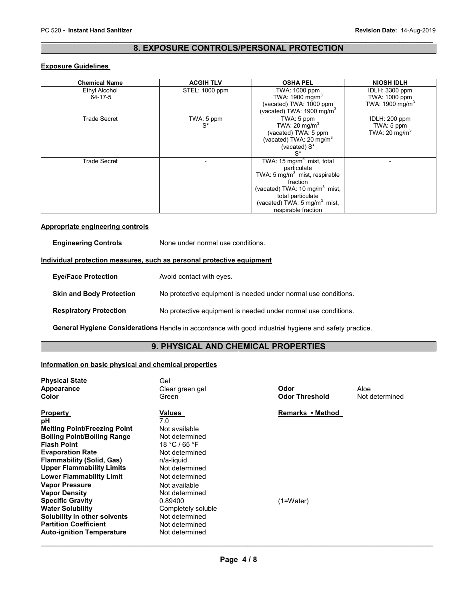# PC 520 - Instant Hand Sanitizer<br> **Revision Date:** 14-Aug-2019<br> **A EVERGUEE CONTROLLERCE CULL BROTECTION 8. EXPOSURE CONTROLS/PERSONAL PROTECTION**

#### **Exposure Guidelines**

| <b>Chemical Name</b> | <b>ACGIH TLV</b> | <b>OSHA PEL</b>                           | <b>NIOSH IDLH</b>           |
|----------------------|------------------|-------------------------------------------|-----------------------------|
| Ethyl Alcohol        | STEL: 1000 ppm   | TWA: 1000 ppm                             | IDLH: 3300 ppm              |
| 64-17-5              |                  | TWA: 1900 mg/m <sup>3</sup>               | TWA: 1000 ppm               |
|                      |                  | (vacated) TWA: 1000 ppm                   | TWA: 1900 mg/m <sup>3</sup> |
|                      |                  | (vacated) TWA: 1900 mg/m $3$              |                             |
| <b>Trade Secret</b>  | TWA: 5 ppm       | TWA: 5 ppm                                | IDLH: 200 ppm               |
|                      | $S^*$            | TWA: 20 mg/m <sup>3</sup>                 | TWA: 5 ppm                  |
|                      |                  | (vacated) TWA: 5 ppm                      | TWA: 20 mg/m <sup>3</sup>   |
|                      |                  | (vacated) TWA: 20 mg/m <sup>3</sup>       |                             |
|                      |                  | (vacated) S*                              |                             |
|                      |                  | S*                                        |                             |
| Trade Secret         |                  | TWA: 15 mg/m <sup>3</sup> mist, total     |                             |
|                      |                  | particulate                               |                             |
|                      |                  | TWA: 5 mg/m <sup>3</sup> mist, respirable |                             |
|                      |                  | fraction                                  |                             |
|                      |                  | (vacated) TWA: 10 mg/m <sup>3</sup> mist, |                             |
|                      |                  | total particulate                         |                             |
|                      |                  | (vacated) TWA: $5 \text{ mg/m}^3$ mist,   |                             |
|                      |                  | respirable fraction                       |                             |

#### **Appropriate engineering controls**

| <b>Engineering Controls</b> | None under normal use conditions. |
|-----------------------------|-----------------------------------|
|                             |                                   |

#### **Individual protection measures, such as personal protective equipment**

| <b>Eve/Face Protection</b>      | Avoid contact with eyes.                                       |
|---------------------------------|----------------------------------------------------------------|
| <b>Skin and Body Protection</b> | No protective equipment is needed under normal use conditions. |
| <b>Respiratory Protection</b>   | No protective equipment is needed under normal use conditions. |

**General Hygiene Considerations** Handle in accordance with good industrial hygiene and safety practice.

#### **9. PHYSICAL AND CHEMICAL PROPERTIES**

#### **Information on basic physical and chemical properties**

| <b>Physical State</b><br>Appearance<br>Color                                                                                                                                                                                                                                                                                                                                                                                                                              | Gel<br>Clear green gel<br>Green                                                                                                                                                                                                                                 | Odor<br><b>Odor Threshold</b> | Aloe<br>Not determined |
|---------------------------------------------------------------------------------------------------------------------------------------------------------------------------------------------------------------------------------------------------------------------------------------------------------------------------------------------------------------------------------------------------------------------------------------------------------------------------|-----------------------------------------------------------------------------------------------------------------------------------------------------------------------------------------------------------------------------------------------------------------|-------------------------------|------------------------|
| <b>Property</b><br>рH<br><b>Melting Point/Freezing Point</b><br><b>Boiling Point/Boiling Range</b><br><b>Flash Point</b><br><b>Evaporation Rate</b><br><b>Flammability (Solid, Gas)</b><br><b>Upper Flammability Limits</b><br><b>Lower Flammability Limit</b><br><b>Vapor Pressure</b><br><b>Vapor Density</b><br><b>Specific Gravity</b><br><b>Water Solubility</b><br>Solubility in other solvents<br><b>Partition Coefficient</b><br><b>Auto-ignition Temperature</b> | Values<br>7.0<br>Not available<br>Not determined<br>18 °C / 65 °F<br>Not determined<br>n/a-liquid<br>Not determined<br>Not determined<br>Not available<br>Not determined<br>0.89400<br>Completely soluble<br>Not determined<br>Not determined<br>Not determined | Remarks • Method<br>(1=Water) |                        |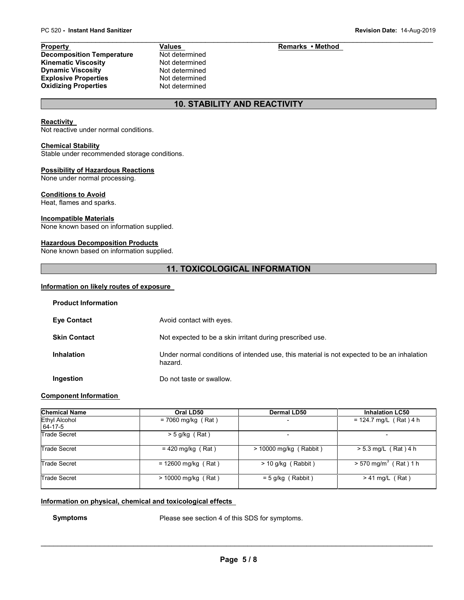**Property Values Remarks • Method**<br> **Decomposition Temperature Reflect Remarks • Method Remarks • Method Decomposition Temperature** Not determined<br> **Kinematic Viscosity** Not determined **Kinematic Viscosity**<br> **Dynamic Viscosity**<br> **Not determined Dynamic Viscosity**<br> **Explosive Properties**<br>
Not determined **Explosive Properties Oxidizing Properties** Not determined

### **10. STABILITY AND REACTIVITY**

#### **Reactivity**

Not reactive under normal conditions.

#### **Chemical Stability**

Stable under recommended storage conditions.

#### **Possibility of Hazardous Reactions**

None under normal processing.

#### **Conditions to Avoid**

Heat, flames and sparks.

#### **Incompatible Materials**

None known based on information supplied.

#### **Hazardous Decomposition Products**

None known based on information supplied.

#### **11. TOXICOLOGICAL INFORMATION**

#### **Information on likely routes of exposure**

| <b>Product Information</b> |                                                                                                       |
|----------------------------|-------------------------------------------------------------------------------------------------------|
| <b>Eye Contact</b>         | Avoid contact with eyes.                                                                              |
| <b>Skin Contact</b>        | Not expected to be a skin irritant during prescribed use.                                             |
| <b>Inhalation</b>          | Under normal conditions of intended use, this material is not expected to be an inhalation<br>hazard. |
| Ingestion                  | Do not taste or swallow.                                                                              |

#### **Component Information**

| <b>Chemical Name</b>     | Oral LD50             | <b>Dermal LD50</b>       | <b>Inhalation LC50</b>              |
|--------------------------|-----------------------|--------------------------|-------------------------------------|
| Ethyl Alcohol<br>64-17-5 | $= 7060$ mg/kg (Rat)  |                          | $= 124.7$ mg/L (Rat) 4 h            |
| Trade Secret             | $>$ 5 g/kg (Rat)      |                          | $\overline{\phantom{a}}$            |
| Trade Secret             | $= 420$ mg/kg (Rat)   | $>$ 10000 mg/kg (Rabbit) | $> 5.3$ mg/L (Rat) 4 h              |
| Trade Secret             | $= 12600$ mg/kg (Rat) | $> 10$ g/kg (Rabbit)     | $> 570$ mg/m <sup>3</sup> (Rat) 1 h |
| Trade Secret             | $> 10000$ mg/kg (Rat) | $= 5$ g/kg (Rabbit)      | $> 41$ mg/L (Rat)                   |

#### **Information on physical, chemical and toxicological effects**

**Symptoms** Please see section 4 of this SDS for symptoms.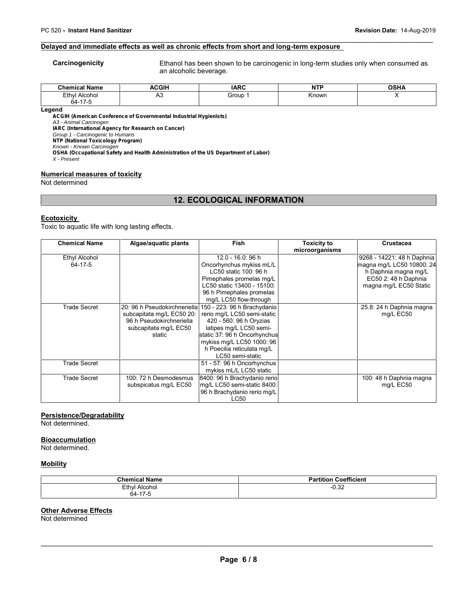# PC 520 - Instant Hand Sanitizer<br> **Polouad and immediate offects on well as obvervis offects from about and long term expecuse.**<br> **Polouad and immediate offects on well as obvervis offects from about and long term expecuse. Delayed and immediate effects as well as chronic effects from short and long-term exposure**

**Carcinogenicity** Ethanol has been shown to be carcinogenic in long-term studies only when consumed as an alcoholic beverage.

| <b>Chemical Name</b> | <b>ACGIH</b> | <b>IARC</b> | <b>NTF</b> | $\sim$ u $\prime$<br>וחט |
|----------------------|--------------|-------------|------------|--------------------------|
| Ethvl<br>Alcohol     | nu<br>$\sim$ | Group       | Known      |                          |
| 64-17-5              |              |             |            |                          |

#### **Legend**

*ACGIH (American Conference of Governmental Industrial Hygienists)*

*A3 - Animal Carcinogen*

*IARC (International Agency for Research on Cancer)*

*Group 1 - Carcinogenic to Humans*

*NTP (National Toxicology Program) Known - Known Carcinogen*

*OSHA (Occupational Safety and Health Administration of the US Department of Labor)*

*X - Present*

#### **Numerical measures of toxicity**

Not determined

### **12. ECOLOGICAL INFORMATION**

#### **Ecotoxicity**

Toxic to aquatic life with long lasting effects.

| <b>Chemical Name</b>     | Algae/aquatic plants                                                                                                     | Fish                                                                                                                                                                                                                            | <b>Toxicity to</b><br>microorganisms | <b>Crustacea</b>                                                                                                                  |
|--------------------------|--------------------------------------------------------------------------------------------------------------------------|---------------------------------------------------------------------------------------------------------------------------------------------------------------------------------------------------------------------------------|--------------------------------------|-----------------------------------------------------------------------------------------------------------------------------------|
| Ethyl Alcohol<br>64-17-5 |                                                                                                                          | 12.0 - 16.0: 96 h<br>Oncorhynchus mykiss mL/L<br>LC50 static 100: 96 h<br>Pimephales promelas mg/L<br>LC50 static 13400 - 15100:<br>96 h Pimephales promelas<br>mg/L LC50 flow-through                                          |                                      | 9268 - 14221: 48 h Daphnia<br>magna mg/L LC50 10800: 24<br>h Daphnia magna mg/L<br>EC50 2: 48 h Daphnia<br>magna mg/L EC50 Static |
| <b>Trade Secret</b>      | 20: 96 h Pseudokirchneriella<br>subcapitata mg/L EC50 20:<br>96 h Pseudokirchneriella<br>subcapitata mg/L EC50<br>static | 150 - 223: 96 h Brachydanio<br>rerio mg/L LC50 semi-static<br>420 - 560: 96 h Oryzias<br>latipes mg/L LC50 semi-<br>static 37: 96 h Oncorhynchus<br>mykiss mg/L LC50 1000: 96<br>h Poecilia reticulata mg/L<br>LC50 semi-static |                                      | 25.8: 24 h Daphnia magna<br>mg/L EC50                                                                                             |
| <b>Trade Secret</b>      |                                                                                                                          | 51 - 57: 96 h Oncorhynchus<br>mykiss mL/L LC50 static                                                                                                                                                                           |                                      |                                                                                                                                   |
| <b>Trade Secret</b>      | 100: 72 h Desmodesmus<br>subspicatus mg/L EC50                                                                           | 8400: 96 h Brachydanio rerio<br>mg/L LC50 semi-static 8400:<br>96 h Brachydanio rerio mg/L<br>LC50                                                                                                                              |                                      | 100: 48 h Daphnia magna<br>mg/L EC50                                                                                              |

#### **Persistence/Degradability**

Not determined.

#### **Bioaccumulation**

Not determined.

#### **Mobility**

| <b>Chemical Name</b>                          | ---<br>-<br>rtition Coefficient<br>п. |
|-----------------------------------------------|---------------------------------------|
| Ethyl Alcohol                                 | .00<br>-∪.ఎ∠                          |
| 64-17-5<br>$\sim$ $\sim$ $\sim$ $\sim$ $\sim$ |                                       |

#### **Other Adverse Effects**

Not determined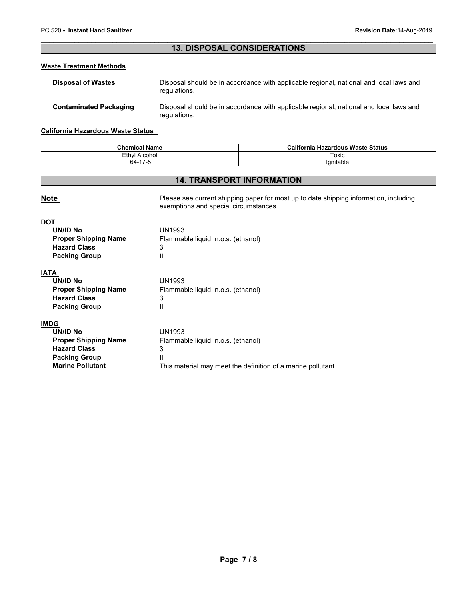## **13. DISPOSAL CONSIDERATIONS**

#### **Waste Treatment Methods**

| <b>Disposal of Wastes</b>     | Disposal should be in accordance with applicable regional, national and local laws and<br>regulations. |
|-------------------------------|--------------------------------------------------------------------------------------------------------|
| <b>Contaminated Packaging</b> | Disposal should be in accordance with applicable regional, national and local laws and<br>regulations. |

#### **California Hazardous Waste Status**

| <b>Chemical Name</b> | <b>California</b><br>a Hazardous Waste Status |
|----------------------|-----------------------------------------------|
| Ethyl<br>Alcohol     | Toxic                                         |
| 64-17-5              | lanitable                                     |

## **14. TRANSPORT INFORMATION**

| <b>Note</b>                                                                                                                      | Please see current shipping paper for most up to date shipping information, including<br>exemptions and special circumstances. |
|----------------------------------------------------------------------------------------------------------------------------------|--------------------------------------------------------------------------------------------------------------------------------|
| <b>DOT</b><br>UN/ID No<br><b>Proper Shipping Name</b><br><b>Hazard Class</b><br><b>Packing Group</b>                             | <b>UN1993</b><br>Flammable liquid, n.o.s. (ethanol)<br>3<br>Ш                                                                  |
| <b>IATA</b><br><b>UN/ID No</b><br><b>Proper Shipping Name</b><br><b>Hazard Class</b><br><b>Packing Group</b>                     | <b>UN1993</b><br>Flammable liquid, n.o.s. (ethanol)<br>3<br>Ш                                                                  |
| <b>IMDG</b><br>UN/ID No<br><b>Proper Shipping Name</b><br><b>Hazard Class</b><br><b>Packing Group</b><br><b>Marine Pollutant</b> | <b>UN1993</b><br>Flammable liquid, n.o.s. (ethanol)<br>3<br>н<br>This material may meet the definition of a marine pollutant   |